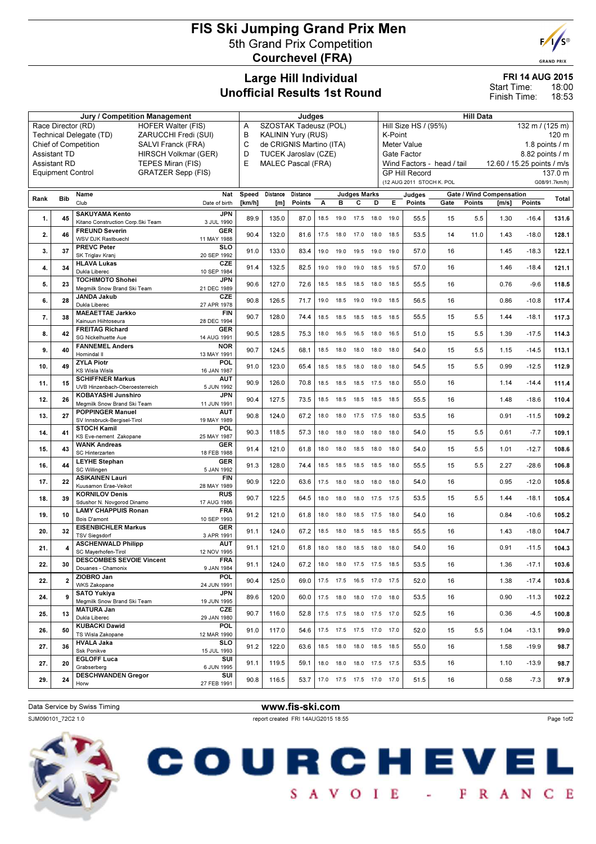# FIS Ski Jumping Grand Prix Men 5th Grand Prix Competition Courchevel (FRA)



|      |                                            | <b>Jury / Competition Management</b>                                                    | Judges                         |                                                       |          |                               |           |                              |      | <b>Hill Data</b>                                                                           |                               |      |               |                                 |         |               |  |  |
|------|--------------------------------------------|-----------------------------------------------------------------------------------------|--------------------------------|-------------------------------------------------------|----------|-------------------------------|-----------|------------------------------|------|--------------------------------------------------------------------------------------------|-------------------------------|------|---------------|---------------------------------|---------|---------------|--|--|
|      |                                            | Race Director (RD)<br><b>HOFER Walter (FIS)</b>                                         | SZOSTAK Tadeusz (POL)<br>Α     |                                                       |          |                               |           |                              |      | Hill Size HS / (95%)<br>132 m / (125 m)                                                    |                               |      |               |                                 |         |               |  |  |
|      |                                            | ZARUCCHI Fredi (SUI)<br>Technical Delegate (TD)                                         |                                | В<br><b>KALININ Yury (RUS)</b>                        |          |                               |           |                              |      |                                                                                            | K-Point<br>120 m              |      |               |                                 |         |               |  |  |
|      |                                            | <b>Chief of Competition</b><br>SALVI Franck (FRA)                                       | C                              | de CRIGNIS Martino (ITA)<br>D<br>TUCEK Jaroslav (CZE) |          |                               |           |                              |      |                                                                                            | 1.8 points / m<br>Meter Value |      |               |                                 |         |               |  |  |
|      | <b>Assistant TD</b><br><b>Assistant RD</b> | HIRSCH Volkmar (GER)<br>TEPES Miran (FIS)                                               | E<br><b>MALEC Pascal (FRA)</b> |                                                       |          |                               |           |                              |      | Gate Factor<br>8.82 points / m<br>Wind Factors - head / tail<br>12.60 / 15.25 points / m/s |                               |      |               |                                 |         |               |  |  |
|      | <b>Equipment Control</b>                   | <b>GRATZER Sepp (FIS)</b>                                                               |                                |                                                       |          |                               |           |                              |      |                                                                                            | <b>GP Hill Record</b>         |      |               |                                 |         | 137.0 m       |  |  |
|      |                                            |                                                                                         |                                |                                                       |          |                               |           |                              |      |                                                                                            | (12 AUG 2011 STOCH K. POL     |      |               |                                 |         | G08/91.7km/h) |  |  |
|      |                                            | Name<br>Nat                                                                             | Speed                          | Distance                                              | Distance |                               |           | <b>Judges Marks</b>          |      |                                                                                            | Judges                        |      |               | <b>Gate / Wind Compensation</b> |         |               |  |  |
| Rank | <b>Bib</b>                                 | Club<br>Date of birth                                                                   | [km/h]                         | [m]                                                   | Points   | A                             | в         | с                            | D    | Е                                                                                          | Points                        | Gate | <b>Points</b> | [m/s]                           | Points  | Total         |  |  |
| 1.   | 45                                         | <b>SAKUYAMA Kento</b><br><b>JPN</b><br>Kitano Construction Corp. Ski Team<br>3 JUL 1990 | 89.9                           | 135.0                                                 | 87.0     | 18.5                          | 19.0      | 17.5                         | 18.0 | 19.0                                                                                       | 55.5                          | 15   | 5.5           | 1.30                            | $-16.4$ | 131.6         |  |  |
| 2.   | 46                                         | <b>GER</b><br><b>FREUND Severin</b><br>WSV DJK Rastbuechl<br>11 MAY 1988                | 90.4                           | 132.0                                                 | 81.6     | 17.5                          | 18.0      | 17.0                         | 18.0 | 18.5                                                                                       | 53.5                          | 14   | 11.0          | 1.43                            | $-18.0$ | 128.1         |  |  |
| 3.   | 37                                         | <b>PREVC Peter</b><br><b>SLO</b><br>SK Triglav Kranj<br>20 SEP 1992                     | 91.0                           | 133.0                                                 | 83.4     |                               | 19.0 19.0 | 19.5 19.0                    |      | 19.0                                                                                       | 57.0                          | 16   |               | 1.45                            | $-18.3$ | 122.1         |  |  |
| 4.   | 34                                         | <b>HLAVA Lukas</b><br>CZE<br>Dukla Liberec<br>10 SEP 1984                               | 91.4                           | 132.5                                                 | 82.5     | 19.0                          | 19.0      | 19.0                         | 18.5 | 19.5                                                                                       | 57.0                          | 16   |               | 1.46                            | $-18.4$ | 121.1         |  |  |
| 5.   | 23                                         | <b>TOCHIMOTO Shohei</b><br><b>JPN</b><br>Megmilk Snow Brand Ski Team<br>21 DEC 1989     | 90.6                           | 127.0                                                 | 72.6     | 18.5                          | 18.5      | 18.5                         | 18.0 | 18.5                                                                                       | 55.5                          | 16   |               | 0.76                            | $-9.6$  | 118.5         |  |  |
| 6.   | 28                                         | CZE<br><b>JANDA Jakub</b><br>Dukla Liberec<br>27 APR 1978                               | 90.8                           | 126.5                                                 | 71.7     | 19.0                          | 18.5      | 19.0                         | 19.0 | 18.5                                                                                       | 56.5                          | 16   |               | 0.86                            | $-10.8$ | 117.4         |  |  |
| 7.   | 38                                         | <b>MAEAETTAE Jarkko</b><br><b>FIN</b><br>Kainuun Hiihtoseura<br>28 DEC 1994             | 90.7                           | 128.0                                                 | 74.4     |                               | 18.5 18.5 | 18.5 18.5                    |      | 18.5                                                                                       | 55.5                          | 15   | 5.5           | 1.44                            | $-18.1$ | 117.3         |  |  |
| 8.   | 42                                         | <b>FREITAG Richard</b><br><b>GER</b><br>SG Nickelhuette Aue<br>14 AUG 1991              | 90.5                           | 128.5                                                 | 75.3     | 18.0                          | 16.5      | 16.5                         | 18.0 | 16.5                                                                                       | 51.0                          | 15   | 5.5           | 1.39                            | $-17.5$ | 114.3         |  |  |
| 9.   | 40                                         | <b>FANNEMEL Anders</b><br><b>NOR</b><br>Hornindal II<br>13 MAY 1991                     | 90.7                           | 124.5                                                 | 68.1     | 18.5                          | 18.0      | 18.0                         | 18.0 | 18.0                                                                                       | 54.0                          | 15   | 5.5           | 1.15                            | $-14.5$ | 113.1         |  |  |
| 10.  | 49                                         | <b>ZYLA Piotr</b><br>POI.<br>KS Wisla Wisla<br>16 JAN 1987                              | 91.0                           | 123.0                                                 | 65.4     | 18.5                          | 18.5      | 18.0                         | 18.0 | 18.0                                                                                       | 54.5                          | 15   | 5.5           | 0.99                            | $-12.5$ | 112.9         |  |  |
| 11.  | 15                                         | <b>SCHIFFNER Markus</b><br>AUT<br>UVB Hinzenbach-Oberoesterreich<br>5 JUN 1992          | 90.9                           | 126.0                                                 | 70.8     |                               | 18.5 18.5 | 18.5 17.5                    |      | 18.0                                                                                       | 55.0                          | 16   |               | 1.14                            | $-14.4$ | 111.4         |  |  |
| 12.  | 26                                         | <b>KOBAYASHI Junshiro</b><br>JPN<br>Megmilk Snow Brand Ski Team<br>11 JUN 1991          | 90.4                           | 127.5                                                 | 73.5     | 18.5                          | 18.5      | 18.5                         | 18.5 | 18.5                                                                                       | 55.5                          | 16   |               | 1.48                            | $-18.6$ | 110.4         |  |  |
| 13.  | 27                                         | <b>POPPINGER Manuel</b><br>AUT<br>SV Innsbruck-Bergisel-Tirol<br>19 MAY 1989            | 90.8                           | 124.0                                                 | 67.2     | 18.0                          | 18.0      | 17.5                         | 17.5 | 18.0                                                                                       | 53.5                          | 16   |               | 0.91                            | $-11.5$ | 109.2         |  |  |
| 14.  | 41                                         | <b>STOCH Kamil</b><br>POL<br>KS Eve-nement Zakopane<br>25 MAY 1987                      | 90.3                           | 118.5                                                 | 57.3     | 18.0                          | 18.0      | 18.0                         | 18.0 | 18.0                                                                                       | 54.0                          | 15   | 5.5           | 0.61                            | $-7.7$  | 109.1         |  |  |
| 15.  | 43                                         | <b>WANK Andreas</b><br><b>GER</b><br>SC Hinterzarten<br>18 FEB 1988                     | 91.4                           | 121.0                                                 | 61.8     |                               | 18.0 18.0 | 18.5 18.0                    |      | 18.0                                                                                       | 54.0                          | 15   | 5.5           | 1.01                            | $-12.7$ | 108.6         |  |  |
| 16.  | 44                                         | <b>GER</b><br><b>LEYHE Stephan</b><br>SC Willingen<br>5 JAN 1992                        | 91.3                           | 128.0                                                 | 74.4     |                               | 18.5 18.5 | 18.5                         | 18.5 | 18.0                                                                                       | 55.5                          | 15   | 5.5           | 2.27                            | $-28.6$ | 106.8         |  |  |
| 17.  | 22                                         | <b>ASIKAINEN Lauri</b><br><b>FIN</b><br>Kuusamon Erae-Veikot<br>28 MAY 1989             | 90.9                           | 122.0                                                 | 63.6     | 17.5                          | 18.0      | 18.0                         | 18.0 | 18.0                                                                                       | 54.0                          | 16   |               | 0.95                            | $-12.0$ | 105.6         |  |  |
| 18.  | 39                                         | <b>RUS</b><br><b>KORNILOV Denis</b><br>Sdushor N. Novgorod Dinamo<br>17 AUG 1986        | 90.7                           | 122.5                                                 | 64.5     |                               | 18.0 18.0 | 18.0                         | 17.5 | 17.5                                                                                       | 53.5                          | 15   | 5.5           | 1.44                            | $-18.1$ | 105.4         |  |  |
| 19.  | 10                                         | <b>LAMY CHAPPUIS Ronan</b><br><b>FRA</b><br>Bois D'amont<br>10 SEP 1993                 | 91.2                           | 121.0                                                 | 61.8     |                               | 18.0 18.0 | 18.5 17.5 18.0               |      |                                                                                            | 54.0                          | 16   |               | 0.84                            | $-10.6$ | 105.2         |  |  |
| 20.  | 32                                         | <b>EISENBICHLER Markus</b><br><b>GER</b><br><b>TSV Siegsdorf</b><br>3 APR 1991          | 91.1                           | 124.0                                                 | 67.2     | 18.5                          | 18.0      | 18.5                         | 18.5 | 18.5                                                                                       | 55.5                          | 16   |               | 1.43                            | $-18.0$ | 104.7         |  |  |
| 21.  | 4                                          | <b>ASCHENWALD Philipp</b><br>AUT<br>SC Mayerhofen-Tirol<br>12 NOV 1995                  | 91.1                           | 121.0                                                 | 61.8     |                               | 18.0 18.0 | 18.5 18.0                    |      | 18.0                                                                                       | 54.0                          | 16   |               | 0.91                            | $-11.5$ | 104.3         |  |  |
| 22.  | 30                                         | <b>DESCOMBES SEVOIE Vincent</b><br><b>FRA</b><br>Douanes - Chamonix<br>9 JAN 1984       | 91.1                           | 124.0                                                 |          | 67.2 18.0 18.0 17.5 17.5 18.5 |           |                              |      |                                                                                            | 53.5                          | 16   |               | 1.36                            | $-17.1$ | 103.6         |  |  |
| 22.  | $\overline{2}$                             | ZIOBRO Jan<br>POL<br>WKS Zakopane<br>24 JUN 1991                                        | 90.4                           | 125.0                                                 | 69.0     |                               |           | 17.5 17.5 16.5 17.0 17.5     |      |                                                                                            | 52.0                          | 16   |               | 1.38                            | $-17.4$ | 103.6         |  |  |
| 24.  | 9                                          | <b>SATO Yukiya</b><br>JPN<br>Megmilk Snow Brand Ski Team<br>19 JUN 1995                 | 89.6                           | 120.0                                                 | 60.0     |                               |           | 17.5  18.0  18.0  17.0  18.0 |      |                                                                                            | 53.5                          | 16   |               | 0.90                            | $-11.3$ | 102.2         |  |  |
| 25.  | 13                                         | <b>MATURA Jan</b><br>CZE<br>Dukla Liberec<br>29 JAN 1980                                | 90.7                           | 116.0                                                 | 52.8     |                               |           | 17.5 17.5 18.0 17.5 17.0     |      |                                                                                            | 52.5                          | 16   |               | 0.36                            | $-4.5$  | 100.8         |  |  |
| 26.  | 50                                         | <b>KUBACKI Dawid</b><br>POL<br>TS Wisla Zakopane<br>12 MAR 1990                         | 91.0                           | 117.0                                                 | 54.6     |                               |           | 17.5 17.5 17.5 17.0 17.0     |      |                                                                                            | 52.0                          | 15   | 5.5           | 1.04                            | $-13.1$ | 99.0          |  |  |
| 27.  | 36                                         | <b>HVALA Jaka</b><br><b>SLO</b><br>Ssk Ponikve<br>15 JUL 1993                           | 91.2                           | 122.0                                                 | 63.6     |                               |           | 18.5 18.0 18.0 18.5 18.5     |      |                                                                                            | 55.0                          | 16   |               | 1.58                            | $-19.9$ | 98.7          |  |  |
| 27.  | 20                                         | <b>EGLOFF Luca</b><br>SUI<br>Grabserberg<br>6 JUN 1995                                  | 91.1                           | 119.5                                                 | 59.1     |                               |           | 18.0 18.0 18.0 17.5 17.5     |      |                                                                                            | 53.5                          | 16   |               | 1.10                            | $-13.9$ | 98.7          |  |  |
| 29.  | 24                                         | <b>DESCHWANDEN Gregor</b><br>SUI<br>27 FEB 1991<br>Horw                                 | 90.8                           | 116.5                                                 | 53.7     |                               |           | 17.0  17.5  17.5  17.0  17.0 |      |                                                                                            | 51.5                          | 16   |               | 0.58                            | $-7.3$  | 97.9          |  |  |
|      |                                            |                                                                                         |                                |                                                       |          |                               |           |                              |      |                                                                                            |                               |      |               |                                 |         |               |  |  |

Data Service by Swiss Timing **www.fis-ski.com** 

SJM090101\_72C2 1.0 report created FRI 14AUG2015 18:55



Page 1of2







**GRAND PRIX** 

FRI 14 AUG 2015

Start Time: Finish Time:

18:00 18:53